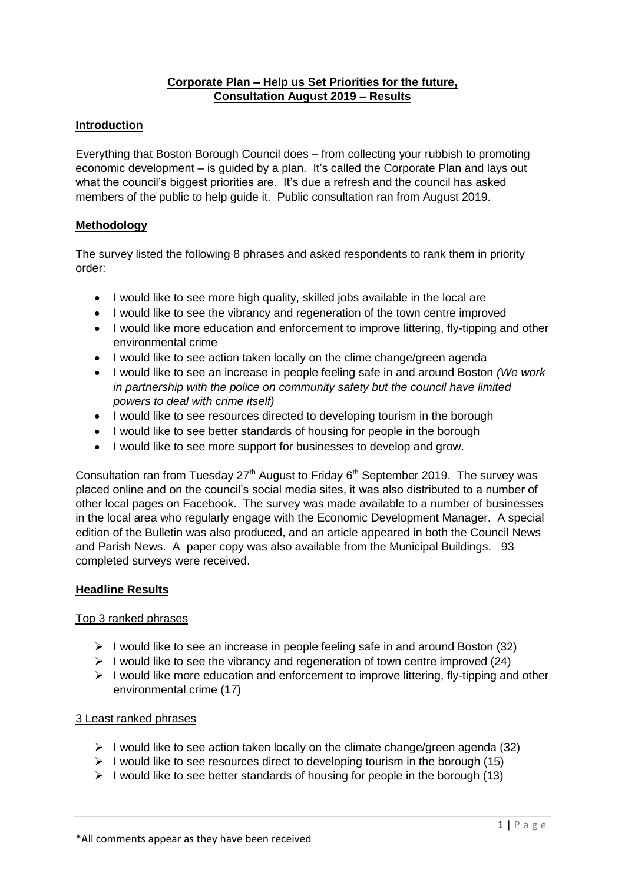### **Corporate Plan – Help us Set Priorities for the future, Consultation August 2019 – Results**

#### **Introduction**

Everything that Boston Borough Council does – from collecting your rubbish to promoting economic development – is guided by a plan. It's called the Corporate Plan and lays out what the council's biggest priorities are. It's due a refresh and the council has asked members of the public to help guide it. Public consultation ran from August 2019.

#### **Methodology**

The survey listed the following 8 phrases and asked respondents to rank them in priority order:

- I would like to see more high quality, skilled jobs available in the local are
- I would like to see the vibrancy and regeneration of the town centre improved
- I would like more education and enforcement to improve littering, fly-tipping and other environmental crime
- I would like to see action taken locally on the clime change/green agenda
- I would like to see an increase in people feeling safe in and around Boston *(We work in partnership with the police on community safety but the council have limited powers to deal with crime itself)*
- I would like to see resources directed to developing tourism in the borough
- I would like to see better standards of housing for people in the borough
- I would like to see more support for businesses to develop and grow.

Consultation ran from Tuesday  $27<sup>th</sup>$  August to Friday  $6<sup>th</sup>$  September 2019. The survey was placed online and on the council's social media sites, it was also distributed to a number of other local pages on Facebook. The survey was made available to a number of businesses in the local area who regularly engage with the Economic Development Manager. A special edition of the Bulletin was also produced, and an article appeared in both the Council News and Parish News. A paper copy was also available from the Municipal Buildings. 93 completed surveys were received.

#### **Headline Results**

#### Top 3 ranked phrases

- $\triangleright$  I would like to see an increase in people feeling safe in and around Boston (32)
- $\triangleright$  I would like to see the vibrancy and regeneration of town centre improved (24)
- $\triangleright$  I would like more education and enforcement to improve littering, fly-tipping and other environmental crime (17)

#### 3 Least ranked phrases

- $\triangleright$  I would like to see action taken locally on the climate change/green agenda (32)
- $\triangleright$  I would like to see resources direct to developing tourism in the borough (15)
- $\triangleright$  I would like to see better standards of housing for people in the borough (13)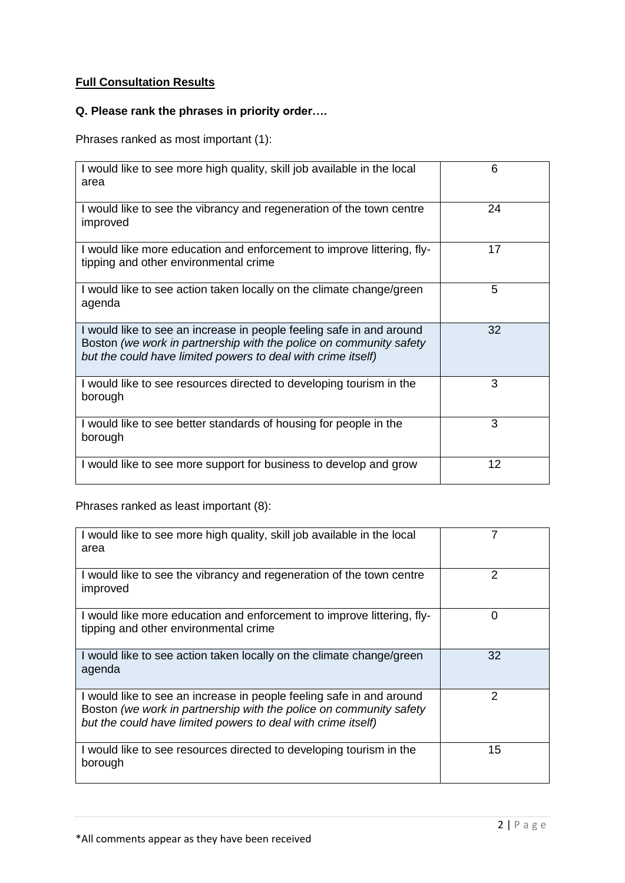## **Full Consultation Results**

## **Q. Please rank the phrases in priority order….**

Phrases ranked as most important (1):

| I would like to see more high quality, skill job available in the local<br>area                                                                                                                            | 6  |
|------------------------------------------------------------------------------------------------------------------------------------------------------------------------------------------------------------|----|
| I would like to see the vibrancy and regeneration of the town centre<br>improved                                                                                                                           | 24 |
| I would like more education and enforcement to improve littering, fly-<br>tipping and other environmental crime                                                                                            | 17 |
| I would like to see action taken locally on the climate change/green<br>agenda                                                                                                                             | 5  |
| I would like to see an increase in people feeling safe in and around<br>Boston (we work in partnership with the police on community safety<br>but the could have limited powers to deal with crime itself) | 32 |
| I would like to see resources directed to developing tourism in the<br>borough                                                                                                                             | 3  |
| I would like to see better standards of housing for people in the<br>borough                                                                                                                               | 3  |
| I would like to see more support for business to develop and grow                                                                                                                                          | 12 |

Phrases ranked as least important (8):

| I would like to see more high quality, skill job available in the local<br>area                                                                                                                            |    |
|------------------------------------------------------------------------------------------------------------------------------------------------------------------------------------------------------------|----|
| I would like to see the vibrancy and regeneration of the town centre<br>improved                                                                                                                           | 2  |
| I would like more education and enforcement to improve littering, fly-<br>tipping and other environmental crime                                                                                            | 0  |
| I would like to see action taken locally on the climate change/green<br>agenda                                                                                                                             | 32 |
| I would like to see an increase in people feeling safe in and around<br>Boston (we work in partnership with the police on community safety<br>but the could have limited powers to deal with crime itself) | 2  |
| I would like to see resources directed to developing tourism in the<br>borough                                                                                                                             | 15 |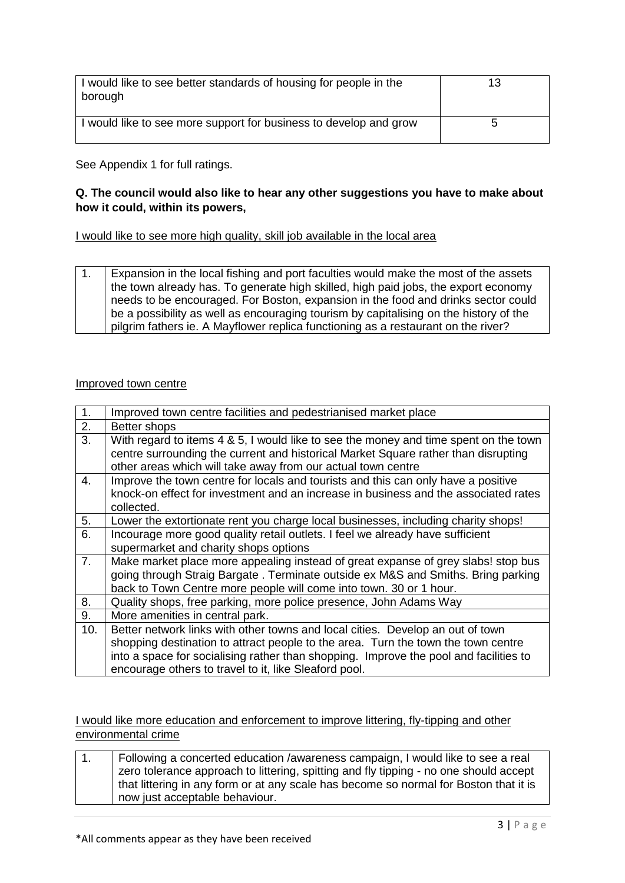| I would like to see better standards of housing for people in the<br>borough | 13 |
|------------------------------------------------------------------------------|----|
| I would like to see more support for business to develop and grow            | 5  |

See Appendix 1 for full ratings.

### **Q. The council would also like to hear any other suggestions you have to make about how it could, within its powers,**

I would like to see more high quality, skill job available in the local area

1. Expansion in the local fishing and port faculties would make the most of the assets the town already has. To generate high skilled, high paid jobs, the export economy needs to be encouraged. For Boston, expansion in the food and drinks sector could be a possibility as well as encouraging tourism by capitalising on the history of the pilgrim fathers ie. A Mayflower replica functioning as a restaurant on the river?

#### Improved town centre

| 1.             | Improved town centre facilities and pedestrianised market place                                                                                                                                                                                              |
|----------------|--------------------------------------------------------------------------------------------------------------------------------------------------------------------------------------------------------------------------------------------------------------|
| 2.             | Better shops                                                                                                                                                                                                                                                 |
| 3.             | With regard to items 4 & 5, I would like to see the money and time spent on the town                                                                                                                                                                         |
|                | centre surrounding the current and historical Market Square rather than disrupting<br>other areas which will take away from our actual town centre                                                                                                           |
| 4.             | Improve the town centre for locals and tourists and this can only have a positive<br>knock-on effect for investment and an increase in business and the associated rates<br>collected.                                                                       |
| 5.             | Lower the extortionate rent you charge local businesses, including charity shops!                                                                                                                                                                            |
| 6.             | Incourage more good quality retail outlets. I feel we already have sufficient                                                                                                                                                                                |
|                | supermarket and charity shops options                                                                                                                                                                                                                        |
| 7 <sub>1</sub> | Make market place more appealing instead of great expanse of grey slabs! stop bus<br>going through Straig Bargate. Terminate outside ex M&S and Smiths. Bring parking<br>back to Town Centre more people will come into town. 30 or 1 hour.                  |
| 8.             | Quality shops, free parking, more police presence, John Adams Way                                                                                                                                                                                            |
| 9.             | More amenities in central park.                                                                                                                                                                                                                              |
| 10.            | Better network links with other towns and local cities. Develop an out of town<br>shopping destination to attract people to the area. Turn the town the town centre<br>into a space for socialising rather than shopping. Improve the pool and facilities to |
|                | encourage others to travel to it, like Sleaford pool.                                                                                                                                                                                                        |

I would like more education and enforcement to improve littering, fly-tipping and other environmental crime

1. Following a concerted education /awareness campaign, I would like to see a real zero tolerance approach to littering, spitting and fly tipping - no one should accept that littering in any form or at any scale has become so normal for Boston that it is now just acceptable behaviour.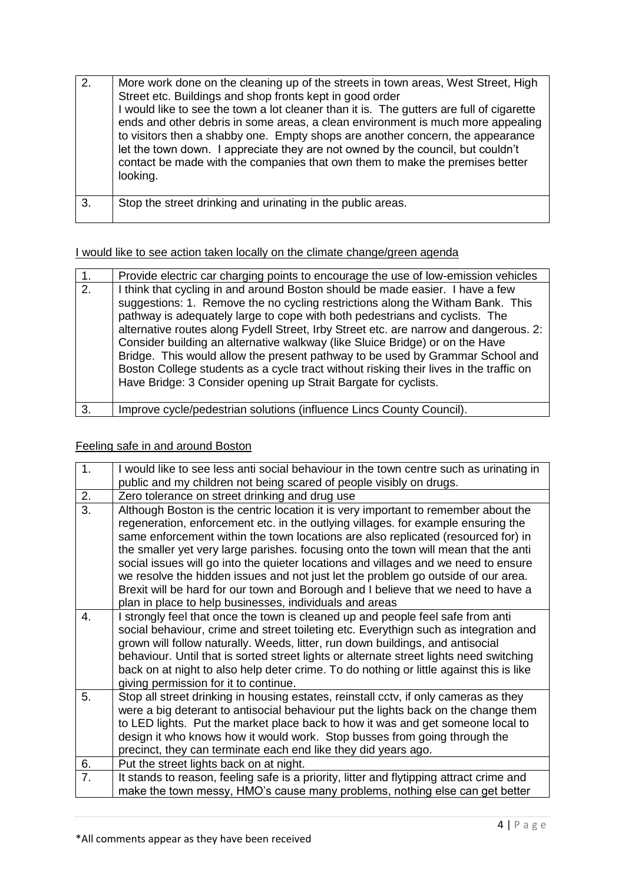| 2. | More work done on the cleaning up of the streets in town areas, West Street, High<br>Street etc. Buildings and shop fronts kept in good order<br>I would like to see the town a lot cleaner than it is. The gutters are full of cigarette<br>ends and other debris in some areas, a clean environment is much more appealing<br>to visitors then a shabby one. Empty shops are another concern, the appearance<br>let the town down. I appreciate they are not owned by the council, but couldn't<br>contact be made with the companies that own them to make the premises better<br>looking. |
|----|-----------------------------------------------------------------------------------------------------------------------------------------------------------------------------------------------------------------------------------------------------------------------------------------------------------------------------------------------------------------------------------------------------------------------------------------------------------------------------------------------------------------------------------------------------------------------------------------------|
| 3. | Stop the street drinking and urinating in the public areas.                                                                                                                                                                                                                                                                                                                                                                                                                                                                                                                                   |

I would like to see action taken locally on the climate change/green agenda

| $\mathbf 1$ .    | Provide electric car charging points to encourage the use of low-emission vehicles                                                                                                                                                                                                                                                                                                                                                                                                                                                                                                                                                                                    |
|------------------|-----------------------------------------------------------------------------------------------------------------------------------------------------------------------------------------------------------------------------------------------------------------------------------------------------------------------------------------------------------------------------------------------------------------------------------------------------------------------------------------------------------------------------------------------------------------------------------------------------------------------------------------------------------------------|
| $\overline{2}$ . | I think that cycling in and around Boston should be made easier. I have a few<br>suggestions: 1. Remove the no cycling restrictions along the Witham Bank. This<br>pathway is adequately large to cope with both pedestrians and cyclists. The<br>alternative routes along Fydell Street, Irby Street etc. are narrow and dangerous. 2:<br>Consider building an alternative walkway (like Sluice Bridge) or on the Have<br>Bridge. This would allow the present pathway to be used by Grammar School and<br>Boston College students as a cycle tract without risking their lives in the traffic on<br>Have Bridge: 3 Consider opening up Strait Bargate for cyclists. |
| 3.               | Improve cycle/pedestrian solutions (influence Lincs County Council).                                                                                                                                                                                                                                                                                                                                                                                                                                                                                                                                                                                                  |

# Feeling safe in and around Boston

| 1. | I would like to see less anti social behaviour in the town centre such as urinating in                                                                                                                                                                                                                                                                                                                                                                                                                                                                                                                                                                                          |
|----|---------------------------------------------------------------------------------------------------------------------------------------------------------------------------------------------------------------------------------------------------------------------------------------------------------------------------------------------------------------------------------------------------------------------------------------------------------------------------------------------------------------------------------------------------------------------------------------------------------------------------------------------------------------------------------|
|    | public and my children not being scared of people visibly on drugs.                                                                                                                                                                                                                                                                                                                                                                                                                                                                                                                                                                                                             |
| 2. | Zero tolerance on street drinking and drug use                                                                                                                                                                                                                                                                                                                                                                                                                                                                                                                                                                                                                                  |
| 3. | Although Boston is the centric location it is very important to remember about the<br>regeneration, enforcement etc. in the outlying villages, for example ensuring the<br>same enforcement within the town locations are also replicated (resourced for) in<br>the smaller yet very large parishes. focusing onto the town will mean that the anti<br>social issues will go into the quieter locations and villages and we need to ensure<br>we resolve the hidden issues and not just let the problem go outside of our area.<br>Brexit will be hard for our town and Borough and I believe that we need to have a<br>plan in place to help businesses, individuals and areas |
| 4. | I strongly feel that once the town is cleaned up and people feel safe from anti<br>social behaviour, crime and street toileting etc. Everythign such as integration and<br>grown will follow naturally. Weeds, litter, run down buildings, and antisocial<br>behaviour. Until that is sorted street lights or alternate street lights need switching<br>back on at night to also help deter crime. To do nothing or little against this is like<br>giving permission for it to continue.                                                                                                                                                                                        |
| 5. | Stop all street drinking in housing estates, reinstall cctv, if only cameras as they<br>were a big deterant to antisocial behaviour put the lights back on the change them<br>to LED lights. Put the market place back to how it was and get someone local to<br>design it who knows how it would work. Stop busses from going through the<br>precinct, they can terminate each end like they did years ago.                                                                                                                                                                                                                                                                    |
| 6. | Put the street lights back on at night.                                                                                                                                                                                                                                                                                                                                                                                                                                                                                                                                                                                                                                         |
| 7. | It stands to reason, feeling safe is a priority, litter and flytipping attract crime and                                                                                                                                                                                                                                                                                                                                                                                                                                                                                                                                                                                        |
|    | make the town messy, HMO's cause many problems, nothing else can get better                                                                                                                                                                                                                                                                                                                                                                                                                                                                                                                                                                                                     |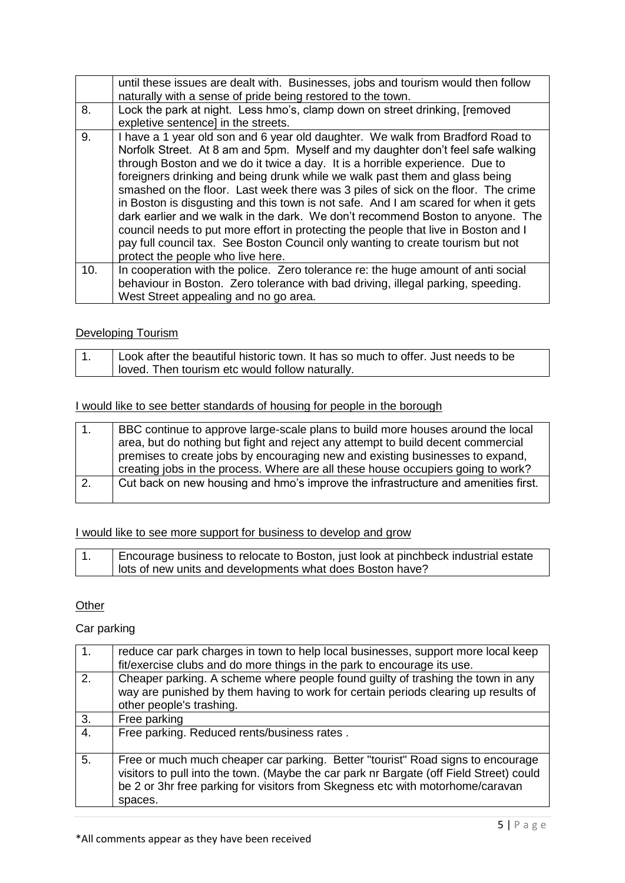|     | until these issues are dealt with. Businesses, jobs and tourism would then follow                                                                                                                                                                                                                                                                                                                                                                                                                                                                                                                                                                                                                                                                                                                             |
|-----|---------------------------------------------------------------------------------------------------------------------------------------------------------------------------------------------------------------------------------------------------------------------------------------------------------------------------------------------------------------------------------------------------------------------------------------------------------------------------------------------------------------------------------------------------------------------------------------------------------------------------------------------------------------------------------------------------------------------------------------------------------------------------------------------------------------|
|     | naturally with a sense of pride being restored to the town.                                                                                                                                                                                                                                                                                                                                                                                                                                                                                                                                                                                                                                                                                                                                                   |
| 8.  | Lock the park at night. Less hmo's, clamp down on street drinking, [removed                                                                                                                                                                                                                                                                                                                                                                                                                                                                                                                                                                                                                                                                                                                                   |
|     | expletive sentence] in the streets.                                                                                                                                                                                                                                                                                                                                                                                                                                                                                                                                                                                                                                                                                                                                                                           |
| 9.  | I have a 1 year old son and 6 year old daughter. We walk from Bradford Road to<br>Norfolk Street. At 8 am and 5pm. Myself and my daughter don't feel safe walking<br>through Boston and we do it twice a day. It is a horrible experience. Due to<br>foreigners drinking and being drunk while we walk past them and glass being<br>smashed on the floor. Last week there was 3 piles of sick on the floor. The crime<br>in Boston is disgusting and this town is not safe. And I am scared for when it gets<br>dark earlier and we walk in the dark. We don't recommend Boston to anyone. The<br>council needs to put more effort in protecting the people that live in Boston and I<br>pay full council tax. See Boston Council only wanting to create tourism but not<br>protect the people who live here. |
| 10. | In cooperation with the police. Zero tolerance re: the huge amount of anti social                                                                                                                                                                                                                                                                                                                                                                                                                                                                                                                                                                                                                                                                                                                             |
|     | behaviour in Boston. Zero tolerance with bad driving, illegal parking, speeding.                                                                                                                                                                                                                                                                                                                                                                                                                                                                                                                                                                                                                                                                                                                              |
|     | West Street appealing and no go area.                                                                                                                                                                                                                                                                                                                                                                                                                                                                                                                                                                                                                                                                                                                                                                         |
|     |                                                                                                                                                                                                                                                                                                                                                                                                                                                                                                                                                                                                                                                                                                                                                                                                               |

### Developing Tourism

| Look after the beautiful historic town. It has so much to offer. Just needs to be |
|-----------------------------------------------------------------------------------|
| loved. Then tourism etc would follow naturally.                                   |

## I would like to see better standards of housing for people in the borough

| l 1.             | BBC continue to approve large-scale plans to build more houses around the local   |
|------------------|-----------------------------------------------------------------------------------|
|                  | area, but do nothing but fight and reject any attempt to build decent commercial  |
|                  | premises to create jobs by encouraging new and existing businesses to expand.     |
|                  | creating jobs in the process. Where are all these house occupiers going to work?  |
| $\overline{2}$ . | Cut back on new housing and hmo's improve the infrastructure and amenities first. |
|                  |                                                                                   |

## I would like to see more support for business to develop and grow

| Encourage business to relocate to Boston, just look at pinchbeck industrial estate |
|------------------------------------------------------------------------------------|
| l lots of new units and developments what does Boston have?                        |

# **Other**

# Car parking

| reduce car park charges in town to help local businesses, support more local keep<br>fit/exercise clubs and do more things in the park to encourage its use.                                                                                                            |
|-------------------------------------------------------------------------------------------------------------------------------------------------------------------------------------------------------------------------------------------------------------------------|
| Cheaper parking. A scheme where people found guilty of trashing the town in any<br>way are punished by them having to work for certain periods clearing up results of<br>other people's trashing.                                                                       |
| Free parking                                                                                                                                                                                                                                                            |
| Free parking. Reduced rents/business rates.                                                                                                                                                                                                                             |
| Free or much much cheaper car parking. Better "tourist" Road signs to encourage<br>visitors to pull into the town. (Maybe the car park nr Bargate (off Field Street) could<br>be 2 or 3hr free parking for visitors from Skegness etc with motorhome/caravan<br>spaces. |
|                                                                                                                                                                                                                                                                         |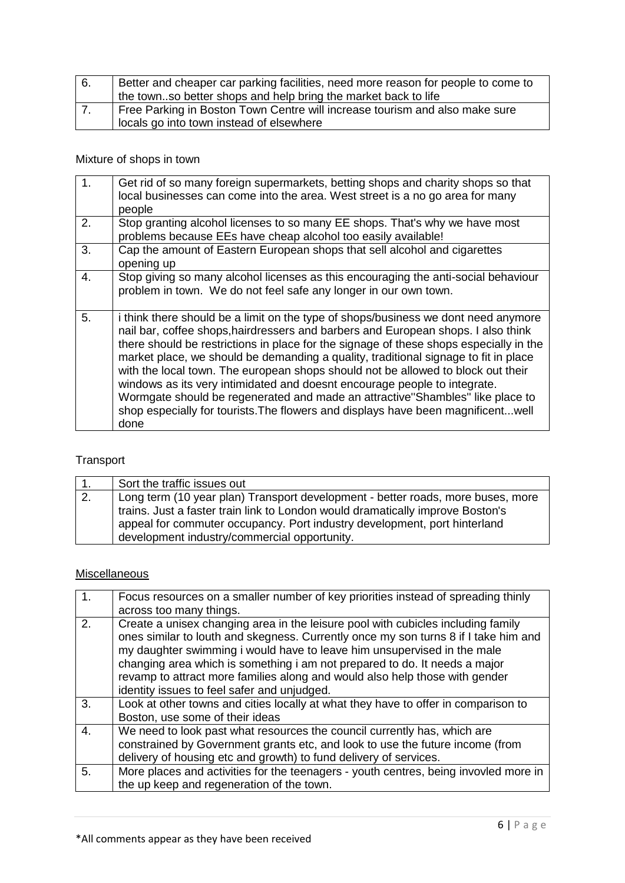| 6. | Better and cheaper car parking facilities, need more reason for people to come to |
|----|-----------------------------------------------------------------------------------|
|    | the townso better shops and help bring the market back to life                    |
|    | Free Parking in Boston Town Centre will increase tourism and also make sure       |
|    | locals go into town instead of elsewhere                                          |

# Mixture of shops in town

| 1 <sub>1</sub> | Get rid of so many foreign supermarkets, betting shops and charity shops so that<br>local businesses can come into the area. West street is a no go area for many<br>people                                                                                                                                                                                                                                                                                                                                                                                                                                                                                                                            |
|----------------|--------------------------------------------------------------------------------------------------------------------------------------------------------------------------------------------------------------------------------------------------------------------------------------------------------------------------------------------------------------------------------------------------------------------------------------------------------------------------------------------------------------------------------------------------------------------------------------------------------------------------------------------------------------------------------------------------------|
| 2.             | Stop granting alcohol licenses to so many EE shops. That's why we have most<br>problems because EEs have cheap alcohol too easily available!                                                                                                                                                                                                                                                                                                                                                                                                                                                                                                                                                           |
| 3.             | Cap the amount of Eastern European shops that sell alcohol and cigarettes<br>opening up                                                                                                                                                                                                                                                                                                                                                                                                                                                                                                                                                                                                                |
| 4.             | Stop giving so many alcohol licenses as this encouraging the anti-social behaviour<br>problem in town. We do not feel safe any longer in our own town.                                                                                                                                                                                                                                                                                                                                                                                                                                                                                                                                                 |
| 5.             | i think there should be a limit on the type of shops/business we dont need anymore<br>nail bar, coffee shops, hairdressers and barbers and European shops. I also think<br>there should be restrictions in place for the signage of these shops especially in the<br>market place, we should be demanding a quality, traditional signage to fit in place<br>with the local town. The european shops should not be allowed to block out their<br>windows as its very intimidated and doesnt encourage people to integrate.<br>Wormgate should be regenerated and made an attractive"Shambles" like place to<br>shop especially for tourists. The flowers and displays have been magnificentwell<br>done |

# Transport

| $\overline{1}$ . | Sort the traffic issues out                                                                                                                                                                                                                                                                    |
|------------------|------------------------------------------------------------------------------------------------------------------------------------------------------------------------------------------------------------------------------------------------------------------------------------------------|
| 2.               | Long term (10 year plan) Transport development - better roads, more buses, more<br>trains. Just a faster train link to London would dramatically improve Boston's<br>appeal for commuter occupancy. Port industry development, port hinterland<br>development industry/commercial opportunity. |
|                  |                                                                                                                                                                                                                                                                                                |

# **Miscellaneous**

| 1 <sub>1</sub> | Focus resources on a smaller number of key priorities instead of spreading thinly<br>across too many things.                                                                                                                                                                                                                                                                                                                                                   |
|----------------|----------------------------------------------------------------------------------------------------------------------------------------------------------------------------------------------------------------------------------------------------------------------------------------------------------------------------------------------------------------------------------------------------------------------------------------------------------------|
| 2.             | Create a unisex changing area in the leisure pool with cubicles including family<br>ones similar to louth and skegness. Currently once my son turns 8 if I take him and<br>my daughter swimming i would have to leave him unsupervised in the male<br>changing area which is something i am not prepared to do. It needs a major<br>revamp to attract more families along and would also help those with gender<br>identity issues to feel safer and unjudged. |
| 3.             | Look at other towns and cities locally at what they have to offer in comparison to<br>Boston, use some of their ideas                                                                                                                                                                                                                                                                                                                                          |
| 4.             | We need to look past what resources the council currently has, which are<br>constrained by Government grants etc, and look to use the future income (from<br>delivery of housing etc and growth) to fund delivery of services.                                                                                                                                                                                                                                 |
| 5.             | More places and activities for the teenagers - youth centres, being invovled more in<br>the up keep and regeneration of the town.                                                                                                                                                                                                                                                                                                                              |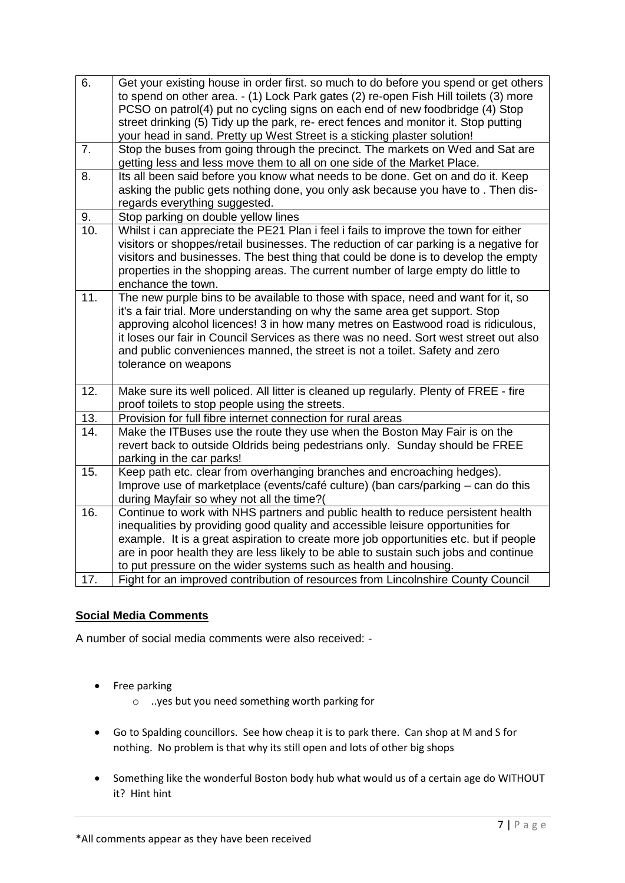| 6.  | Get your existing house in order first. so much to do before you spend or get others<br>to spend on other area. - (1) Lock Park gates (2) re-open Fish Hill toilets (3) more<br>PCSO on patrol(4) put no cycling signs on each end of new foodbridge (4) Stop<br>street drinking (5) Tidy up the park, re- erect fences and monitor it. Stop putting<br>your head in sand. Pretty up West Street is a sticking plaster solution!                      |
|-----|-------------------------------------------------------------------------------------------------------------------------------------------------------------------------------------------------------------------------------------------------------------------------------------------------------------------------------------------------------------------------------------------------------------------------------------------------------|
| 7.  | Stop the buses from going through the precinct. The markets on Wed and Sat are<br>getting less and less move them to all on one side of the Market Place.                                                                                                                                                                                                                                                                                             |
| 8.  | Its all been said before you know what needs to be done. Get on and do it. Keep<br>asking the public gets nothing done, you only ask because you have to. Then dis-<br>regards everything suggested.                                                                                                                                                                                                                                                  |
| 9.  | Stop parking on double yellow lines                                                                                                                                                                                                                                                                                                                                                                                                                   |
| 10. | Whilst i can appreciate the PE21 Plan i feel i fails to improve the town for either<br>visitors or shoppes/retail businesses. The reduction of car parking is a negative for<br>visitors and businesses. The best thing that could be done is to develop the empty<br>properties in the shopping areas. The current number of large empty do little to<br>enchance the town.                                                                          |
| 11. | The new purple bins to be available to those with space, need and want for it, so<br>it's a fair trial. More understanding on why the same area get support. Stop<br>approving alcohol licences! 3 in how many metres on Eastwood road is ridiculous,<br>it loses our fair in Council Services as there was no need. Sort west street out also<br>and public conveniences manned, the street is not a toilet. Safety and zero<br>tolerance on weapons |
| 12. | Make sure its well policed. All litter is cleaned up regularly. Plenty of FREE - fire<br>proof toilets to stop people using the streets.                                                                                                                                                                                                                                                                                                              |
| 13. | Provision for full fibre internet connection for rural areas                                                                                                                                                                                                                                                                                                                                                                                          |
| 14. | Make the ITBuses use the route they use when the Boston May Fair is on the<br>revert back to outside Oldrids being pedestrians only. Sunday should be FREE<br>parking in the car parks!                                                                                                                                                                                                                                                               |
| 15. | Keep path etc. clear from overhanging branches and encroaching hedges).<br>Improve use of marketplace (events/café culture) (ban cars/parking – can do this<br>during Mayfair so whey not all the time?(                                                                                                                                                                                                                                              |
| 16. | Continue to work with NHS partners and public health to reduce persistent health<br>inequalities by providing good quality and accessible leisure opportunities for<br>example. It is a great aspiration to create more job opportunities etc. but if people<br>are in poor health they are less likely to be able to sustain such jobs and continue<br>to put pressure on the wider systems such as health and housing.                              |
| 17. | Fight for an improved contribution of resources from Lincolnshire County Council                                                                                                                                                                                                                                                                                                                                                                      |
|     |                                                                                                                                                                                                                                                                                                                                                                                                                                                       |

## **Social Media Comments**

A number of social media comments were also received: -

- Free parking
	- o ..yes but you need something worth parking for
- Go to Spalding councillors. See how cheap it is to park there. Can shop at M and S for nothing. No problem is that why its still open and lots of other big shops
- Something like the wonderful Boston body hub what would us of a certain age do WITHOUT it? Hint hint